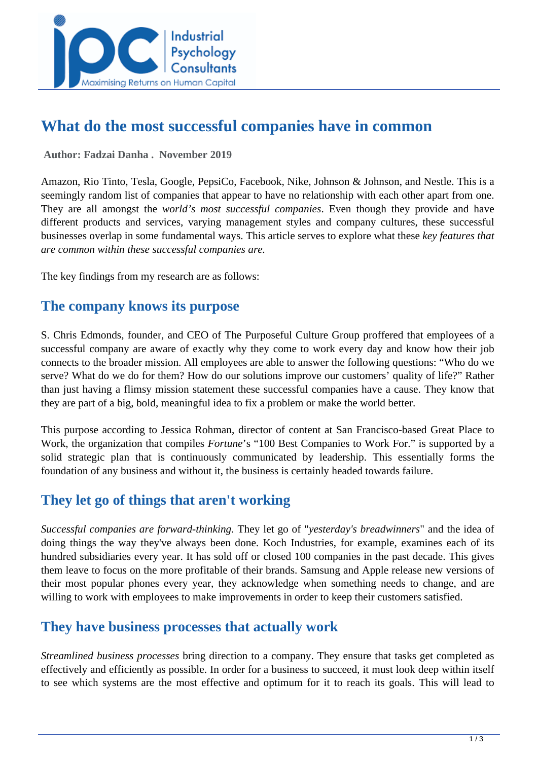

# **What do the most successful companies have in common**

 **Author: Fadzai Danha . November 2019** 

Amazon, Rio Tinto, Tesla, Google, PepsiCo, Facebook, Nike, Johnson & Johnson, and Nestle. This is a seemingly random list of companies that appear to have no relationship with each other apart from one. They are all amongst the *world's most successful companies*. Even though they provide and have different products and services, varying management styles and company cultures, these successful businesses overlap in some fundamental ways. This article serves to explore what these *key features that are common within these successful companies are.* 

The key findings from my research are as follows:

#### **The company knows its purpose**

S. Chris Edmonds, founder, and CEO of The Purposeful Culture Group proffered that employees of a successful company are aware of exactly why they come to work every day and know how their job connects to the broader mission. All employees are able to answer the following questions: "Who do we serve? What do we do for them? How do our solutions improve our customers' quality of life?" Rather than just having a flimsy mission statement these successful companies have a cause. They know that they are part of a big, bold, meaningful idea to fix a problem or make the world better.

This purpose according to Jessica Rohman, director of content at San Francisco-based Great Place to Work, the organization that compiles *Fortune*'s "100 Best Companies to Work For." is supported by a solid strategic plan that is continuously communicated by leadership. This essentially forms the foundation of any business and without it, the business is certainly headed towards failure.

# **They let go of things that aren't working**

*Successful companies are forward-thinking.* They let go of "*yesterday's breadwinners*" and the idea of doing things the way they've always been done. Koch Industries, for example, examines each of its hundred subsidiaries every year. It has sold off or closed 100 companies in the past decade. This gives them leave to focus on the more profitable of their brands. Samsung and Apple release new versions of their most popular phones every year, they acknowledge when something needs to change, and are willing to work with employees to make improvements in order to keep their customers satisfied.

#### **They have business processes that actually work**

*Streamlined business processes* bring direction to a company. They ensure that tasks get completed as effectively and efficiently as possible. In order for a business to succeed, it must look deep within itself to see which systems are the most effective and optimum for it to reach its goals. This will lead to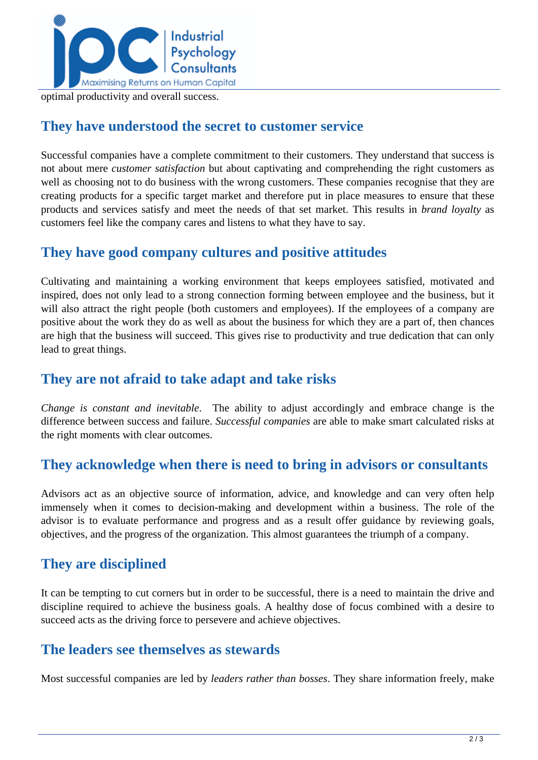

optimal productivity and overall success.

#### **They have understood the secret to customer service**

Successful companies have a complete commitment to their customers. They understand that success is not about mere *customer satisfaction* but about captivating and comprehending the right customers as well as choosing not to do business with the wrong customers. These companies recognise that they are creating products for a specific target market and therefore put in place measures to ensure that these products and services satisfy and meet the needs of that set market. This results in *brand loyalty* as customers feel like the company cares and listens to what they have to say.

# **They have good company cultures and positive attitudes**

Cultivating and maintaining a working environment that keeps employees satisfied, motivated and inspired, does not only lead to a strong connection forming between employee and the business, but it will also attract the right people (both customers and employees). If the employees of a company are positive about the work they do as well as about the business for which they are a part of, then chances are high that the business will succeed. This gives rise to productivity and true dedication that can only lead to great things.

# **They are not afraid to take adapt and take risks**

*Change is constant and inevitable*. The ability to adjust accordingly and embrace change is the difference between success and failure. *Successful companies* are able to make smart calculated risks at the right moments with clear outcomes.

# **They acknowledge when there is need to bring in advisors or consultants**

Advisors act as an objective source of information, advice, and knowledge and can very often help immensely when it comes to decision-making and development within a business. The role of the advisor is to evaluate performance and progress and as a result offer guidance by reviewing goals, objectives, and the progress of the organization. This almost guarantees the triumph of a company.

# **They are disciplined**

It can be tempting to cut corners but in order to be successful, there is a need to maintain the drive and discipline required to achieve the business goals. A healthy dose of focus combined with a desire to succeed acts as the driving force to persevere and achieve objectives.

# **The leaders see themselves as stewards**

Most successful companies are led by *leaders rather than bosses*. They share information freely, make